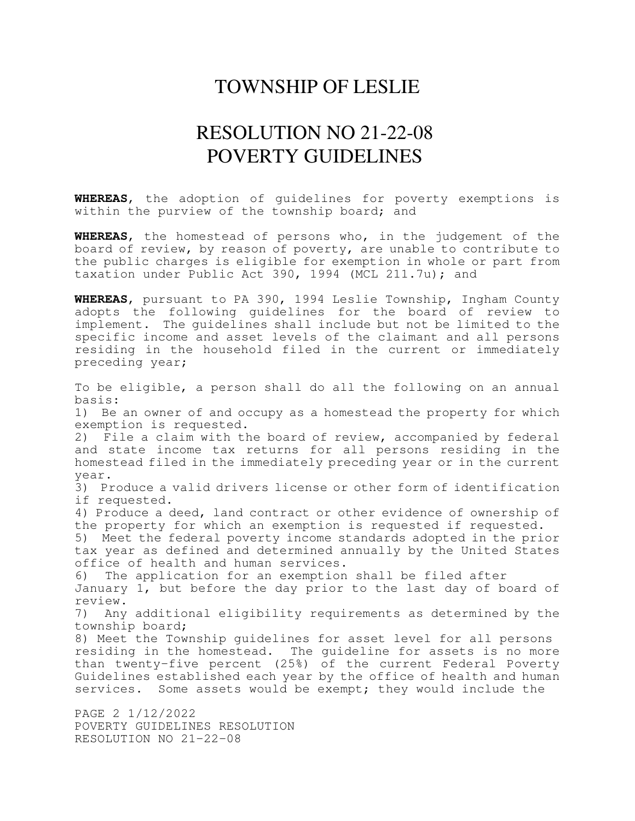## TOWNSHIP OF LESLIE

## RESOLUTION NO 21-22-08 POVERTY GUIDELINES

**WHEREAS**, the adoption of guidelines for poverty exemptions is within the purview of the township board; and

**WHEREAS**, the homestead of persons who, in the judgement of the board of review, by reason of poverty, are unable to contribute to the public charges is eligible for exemption in whole or part from taxation under Public Act 390, 1994 (MCL 211.7u); and

**WHEREAS**, pursuant to PA 390, 1994 Leslie Township, Ingham County adopts the following guidelines for the board of review to implement. The guidelines shall include but not be limited to the specific income and asset levels of the claimant and all persons residing in the household filed in the current or immediately preceding year;

To be eligible, a person shall do all the following on an annual basis: 1) Be an owner of and occupy as a homestead the property for which exemption is requested. 2) File a claim with the board of review, accompanied by federal and state income tax returns for all persons residing in the homestead filed in the immediately preceding year or in the current year. 3) Produce a valid drivers license or other form of identification if requested. 4) Produce a deed, land contract or other evidence of ownership of the property for which an exemption is requested if requested. 5) Meet the federal poverty income standards adopted in the prior tax year as defined and determined annually by the United States office of health and human services. 6) The application for an exemption shall be filed after January 1, but before the day prior to the last day of board of review. 7) Any additional eligibility requirements as determined by the township board; 8) Meet the Township guidelines for asset level for all persons residing in the homestead. The guideline for assets is no more than twenty-five percent (25%) of the current Federal Poverty Guidelines established each year by the office of health and human services. Some assets would be exempt; they would include the PAGE 2 1/12/2022

POVERTY GUIDELINES RESOLUTION RESOLUTION NO 21-22-08